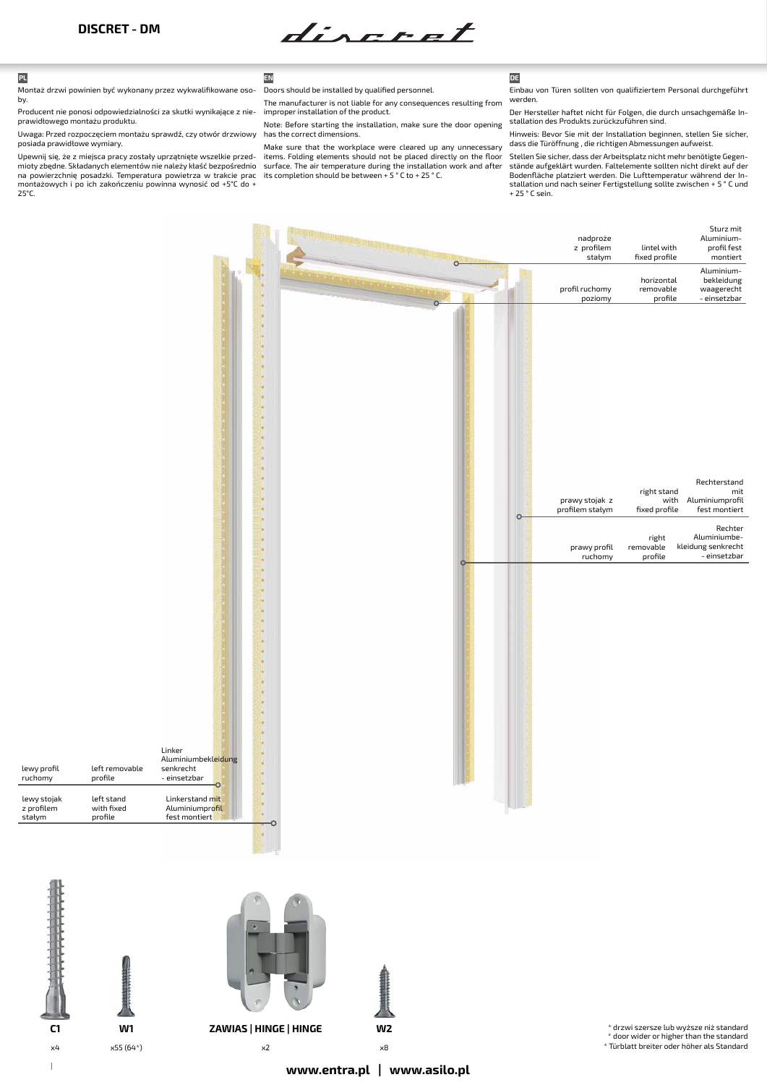diseret

Montaż drzwi powinien być wykonany przez wykwalifikowane osoby.

Producent nie ponosi odpowiedzialności za skutki wynikające z nieprawidłowego montażu produktu.

Uwaga: Przed rozpoczęciem montażu sprawdź, czy otwór drzwiowy has the correct dimensions. posiada prawidłowe wymiary.

Upewnij się, że z miejsca pracy zostały uprzątnięte wszelkie przedmioty zbędne. Składanych elementów nie należy kłaść bezpośrednio na powierzchnię posadzki. Temperatura powietrza w trakcie prac montażowych i po ich zakończeniu powinna wynosić od +5°C do + 25°C.

> left stand with fixed profile

left removable profile

lewy stojak z profilem stałym

lewy profil ruchomy

## **PL EN DE**

Doors should be installed by qualified personnel. The manufacturer is not liable for any consequences resulting from

improper installation of the product. Note: Before starting the installation, make sure the door opening

Make sure that the workplace were cleared up any unnecessary items. Folding elements should not be placed directly on the floor surface. The air temperature during the installation work and after its completion should be between + 5 ° C to + 25 ° C.

Einbau von Türen sollten von qualifiziertem Personal durchgeführt werden

Der Hersteller haftet nicht für Folgen, die durch unsachgemäße Installation des Produkts zurückzuführen sind.

Hinweis: Bevor Sie mit der Installation beginnen, stellen Sie sicher, dass die Türöffnung , die richtigen Abmessungen aufweist.

Stellen Sie sicher, dass der Arbeitsplatz nicht mehr benötigte Gegenstände aufgeklärt wurden. Faltelemente sollten nicht direkt auf der Bodenfläche platziert werden. Die Lufttemperatur während der Installation und nach seiner Fertigstellung sollte zwischen + 5 ° C und + 25 ° C sein.

|                                                                                                                   |                               | nadproże<br>z profilem<br>stałym  | lintel with<br>fixed profile         | Sturz mit<br>Aluminium-<br>profil fest<br>montiert                 |
|-------------------------------------------------------------------------------------------------------------------|-------------------------------|-----------------------------------|--------------------------------------|--------------------------------------------------------------------|
|                                                                                                                   | $\circ$<br>$\overline{\circ}$ | profil ruchomy<br>poziomy         | horizontal<br>removable<br>profile   | Aluminium-<br>bekleidung<br>waagerecht<br>- einsetzbar             |
|                                                                                                                   | $\circ$                       | prawy stojak z<br>profilem stałym | right stand<br>with<br>fixed profile | Rechterstand<br>mit<br>Aluminiumprofil<br>fest montiert<br>Rechter |
|                                                                                                                   | $\circ$                       | prawy profil<br>ruchomy           | right<br>removable<br>profile        | Aluminiumbe-<br>kleidung senkrecht<br>- einsetzbar                 |
| Linker<br>Aluminiumbekleidung<br>ĵ,<br>senkrecht<br>- einsetzbar<br>$\circ$<br>Linkerstand mit<br>Aluminiumprofil |                               |                                   |                                      |                                                                    |
| fest montiert<br>o                                                                                                |                               |                                   |                                      |                                                                    |



\* drzwi szersze lub wyższe niż standard \* door wider or higher than the standard \* Türblatt breiter oder höher als Standard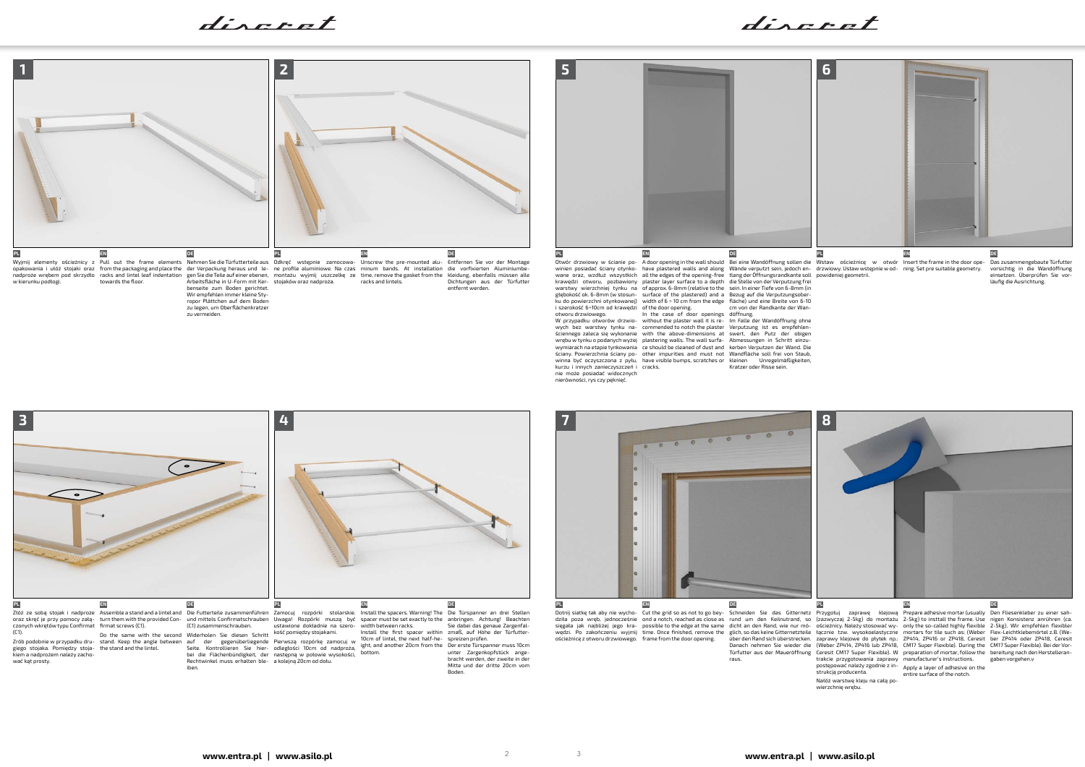



kurzu i innych zanieczyszczeń i cracks. nie może posiadać widocznych nierówności, rys czy pęknięć.

wych bez warstwy tynku na-commended to notch the plaster Verputzung ist es empfehlenściennego zaleca się wykonanie with the above-dimensions at swert, den Putz der obigen<br>wrębu w tynku o podanych wyżej plastering walls. The wall surfa- Abmessungen in Schritt einzuwymiarach na etapie tynkowania ce should be cleaned of dust and kerben Verputzen der Wand. Die ściany. Powierzchnia ściany po-other impurities and must not Wandfläche soll frei von Staub, winna być oczyszczona z pyłu, have visible bumps, scratches or kleinen Unregelmäßigkeiten,

Kratzer oder Risse sein.

Zrób podobnie w przypadku dru-giego stojaka. Pomiędzy stoja-kiem a nadprożem należy zachować kąt prosty.

über den Rand sich überstrecken. zaprawy klejowe do płytek np.: ZP414, ZP416 or ZP418, Ceresit ber ZP414 oder ZP418, Ceresit Danach nehmen Sie wieder die (Weber ZP414, ZP416 lub ZP418, CM17 Super Flexible). During the CM17 Super Flexible). Bei der Vor-<br>Türfutter aus der Maueröffnung Ceresit CM17 Super Flexible). W preparation of mortar, fol Schneiden Sie das Gitternetz rund um den Keilnutrand, so dicht an den Rand, wie nur möraus.

Pierwszą rozpórkę zamocuj w odległości 10cm od nadproża, następną w połowie wysokości,

Rechtwinkel muss erhalten ble- a kolejną 20cm od dołu.

discret





Dotnij siatkę tak aby nie wycho-dziła poza wręb, jednocześnie sięgała jak najbliżej jego krawędzi. Po zakończeniu wyjmij time. Once finished, remove the glich, sodas keine Gitternetzteile łącznie tzw. wysokoelastyczne mortars for tile such as: (Weber Flex-Leichtklebemörtel z.B. (Weościeżnicę z otworu drzwiowego. frame from the door opening.

Przygotuj zaprawę klejową (zazwyczaj 2-5kg) do montażu ościeżnicy. Należy stosować wytrakcie przygotowania zaprawy postępować należy zgodnie z in-manufacturer's instructions. strukcją producenta.

Nałóż warstwę kleju na całą powierzchnię wrębu.

Cut the grid so as not to go bey-ond a notch, reached as close as possible to the edge at the same

10cm of lintel, the next half-he-ight, and another 20cm from the bottom.

Prepare adhesive mortar (usually 2-5kg) to insttall the frame. Use only the so-called highly flexible

Apply a layer of adhesive on the entire surface of the notch.

auf der gegenüberliegende Seite. Kontrollieren Sie hier-bei die Flächenbündigkeit, der

iben.

spreizen prüfen. Der erste Türspanner muss 10cm unter Zargenkopfstück ange-bracht werden, der zweite in der Mitte und der dritte 20cm vom Boden.

Den Fliesenkleber zu einer sah-nigen Konsistenz anrühren (ca. 2-5kg). Wir empfehlen flexibler gaben vorgehen.v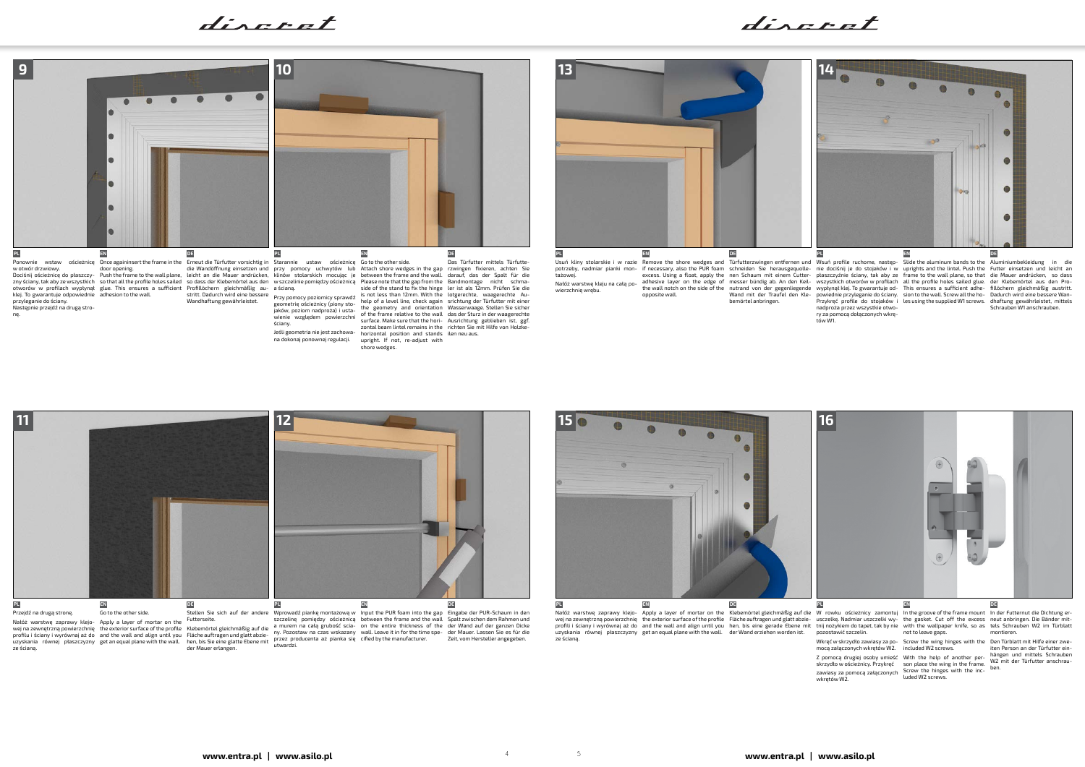**www.entra.pl | www.asilo.pl www.entra.pl | www.asilo.pl** <sup>4</sup> <sup>5</sup>



klej. To gwarantuje odpowiednie adhesion to the wall. przyleganie do ściany. Następnie przejdź na drugą stro-

nę.

Dociśnij ościeżnicę do płaszczy- Push the frame to the wall plane, leicht an die Mauer andrücken, klinów stolarskich mocując je between the frame and the wall. darauf, das der Spalt für die<br>znyściany,takabyzewszystkich sot otworów w profilach wypłynął glue. This ensures a sufficient Profillöchern gleichmäßig au-a ścianą.

stritt. Dadurch wird eine bessere Brzy nomocy noziomicy corpudá is not less than 12mm. With the lotgerechte, waagerechte Au-Przy pomocy poziomicy sprawdź geometrię ościeżnicy (piony sto-jaków, poziom nadproża) i usta-wienie względem powierzchni ściany. na dokonaj ponownej regulacji.

ny. Pozostaw na czas wskazany przez producenta aż pianka się utwardzi. wall. Leave in formal and the my pozostaw na czas wskazany wall. Leave it in for the time spe-<br>Fläche auftragen und glatt abzie-<br>hen, bis Sie eine glatte Ebene mit P<sup>rzez</sup> producenta aż pianka się cified by the manufacture

Wandhaftung gewährleistet.



Nałóż warstwę zaprawy klejo-wej na zewnętrzną powierzchnię profilu i ściany i wyrównaj aż do uzyskania równej płaszczyzny ze ścianą. and the wall and align until you get an equal plane with the wall.

wej na zewnętrzną powierzchnię the exterior surface of the profile Fläche auftragen und glatt abzie- usczelkę. Nadmiar uszczelki wy- the gasket. Cut off the excess neut anbringen. Die Bänder mit-<br>profili i ściany i wyrówna uzyskania równej płaszczyzny get an equal plane with the wall. der Wand erziehen worden ist. ze ścianą.



excess. Using a float, apply the nen Schaum mit einem Cutter- płaszczyźnie ściany, tak aby ze frame to the wall plane, so that die Mauer andrücken, so dass<br>adhesive layer on the edge of messer bündig ab. An den Keilthe wall notch on the side of the nutrand von der gegenliegende wypłynął klej. To gwarantuje od- This ensures a sufficient adhe- fillöchern gleichmäßig austritt. opposite wall.

side of the stand to fix the hinge ler ist als 12mm. Prüfen Sie die help of a level line, check again the geometry and orientation of the frame relative to the wall surface. Make sure that the hori-Ausrichtung geblieben ist, ggf. zontal beam lintel remains in the richten Sie mit Hilfe von Holzke-

Klebemörtel gleichmäßig auf die

der Mauer erlangen.

srichtung der Türfutter mit einer Wasserwaage. Stellen Sie sicher das der Sturz in der waagerechte

Spalt zwischen dem Rahmen und der Wand auf der ganzen Dicke der Mauer. Lassen Sie es für die Zeit, vom Hersteller angegeben.

tażowej. Nałóż warstwę kleju na całą powierzchnię wrębu.

nadproża przez wszystkie otwory za pomocą dołączonych wkrętów W1.

pozostawić szczelin.

wkrętów W2.

discret





mocą załączonych wkrętów W2. included W2 screws.

Z pomocą drugiej osoby umieść skrzydło w ościeżnicy. Przykręć With the help of another per-son place the wing in the frame. zawiasy za pomocą załączonych Screw the hinges with the inc-luded W2 screws.

powiednie przyleganie do ściany. Przykręć profile do stojaków i sion to the wall. Screw all the ho-les using the supplied W1 screws. Wand mit der Traufel den Kle-bemörtel anbringen. Dadurch wird eine bessere Wan-dhaftung gewährleistet, mittels Schrauben W1 anschrauben.

not to leave gaps.

Wkręć w skrzydło zawiasy za po-Screw the wing hinges with the Den Türblatt mit Hilfe einer zweiten Person an der Türfutter ein-<br>hängen und mittels Schrauben hängen und mittels Schrauben W2 mit der Türfutter anschrauben.

montieren.